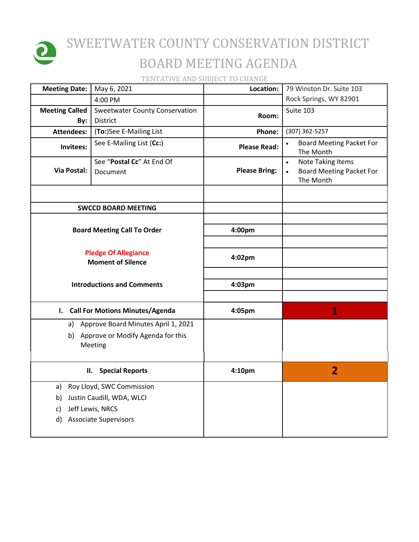

## SWEETWATER COUNTY CONSERVATION DISTRICT BOARD MEETING AGENDA

TENTATIVE AND SUBJECT TO CHANGE

| <b>Meeting Date:</b>                                    | May 6, 2021                                  | Location:            | 79 Winston Dr. Suite 103                                                                           |
|---------------------------------------------------------|----------------------------------------------|----------------------|----------------------------------------------------------------------------------------------------|
|                                                         | 4:00 PM                                      |                      | Rock Springs, WY 82901                                                                             |
| <b>Meeting Called</b>                                   | <b>Sweetwater County Conservation</b>        | Room:                | Suite 103                                                                                          |
| By:                                                     | District                                     |                      |                                                                                                    |
| <b>Attendees:</b>                                       | (To:)See E-Mailing List                      | Phone:               | (307) 362-5257                                                                                     |
| Invitees:                                               | See E-Mailing List (Cc:)                     | <b>Please Read:</b>  | <b>Board Meeting Packet For</b><br>$\bullet$<br>The Month                                          |
| <b>Via Postal:</b>                                      | See "Postal Cc" At End Of<br>Document        | <b>Please Bring:</b> | <b>Note Taking Items</b><br>$\bullet$<br><b>Board Meeting Packet For</b><br>$\bullet$<br>The Month |
| <b>SWCCD BOARD MEETING</b>                              |                                              |                      |                                                                                                    |
| <b>Board Meeting Call To Order</b>                      |                                              | 4:00pm               |                                                                                                    |
|                                                         |                                              |                      |                                                                                                    |
| <b>Pledge Of Allegiance</b><br><b>Moment of Silence</b> |                                              | 4:02pm               |                                                                                                    |
| <b>Introductions and Comments</b>                       |                                              | 4:03pm               |                                                                                                    |
| I. Call For Motions Minutes/Agenda                      |                                              | 4:05pm               | 1                                                                                                  |
|                                                         | a) Approve Board Minutes April 1, 2021       |                      |                                                                                                    |
| b)                                                      | Approve or Modify Agenda for this<br>Meeting |                      |                                                                                                    |
| <b>Special Reports</b><br>П.                            |                                              | 4:10pm               | $\overline{\mathbf{2}}$                                                                            |
| Roy Lloyd, SWC Commission<br>a)                         |                                              |                      |                                                                                                    |
| Justin Caudill, WDA, WLCI<br>b)                         |                                              |                      |                                                                                                    |
| c)                                                      | Jeff Lewis, NRCS                             |                      |                                                                                                    |
| d)                                                      | <b>Associate Supervisors</b>                 |                      |                                                                                                    |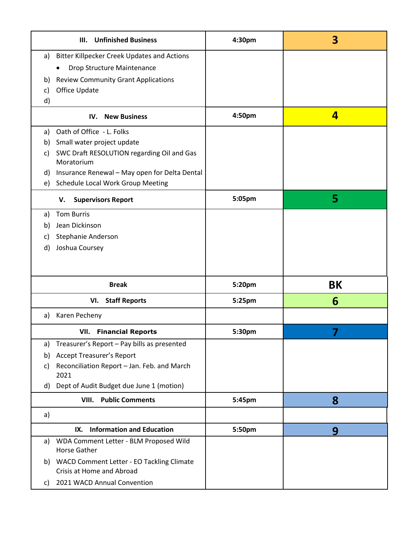| <b>Unfinished Business</b><br>III.                                        | 4:30pm | $\overline{\mathbf{3}}$ |
|---------------------------------------------------------------------------|--------|-------------------------|
| <b>Bitter Killpecker Creek Updates and Actions</b><br>a)                  |        |                         |
| Drop Structure Maintenance                                                |        |                         |
| <b>Review Community Grant Applications</b><br>b)                          |        |                         |
| Office Update<br>C)                                                       |        |                         |
| $\mathsf{d}$                                                              |        |                         |
| <b>New Business</b><br>IV.                                                | 4:50pm | 4                       |
| Oath of Office - L. Folks<br>a)                                           |        |                         |
| Small water project update<br>b)                                          |        |                         |
| SWC Draft RESOLUTION regarding Oil and Gas<br>C)<br>Moratorium            |        |                         |
| Insurance Renewal - May open for Delta Dental<br>d)                       |        |                         |
| Schedule Local Work Group Meeting<br>e)                                   |        |                         |
| <b>Supervisors Report</b><br>v.                                           | 5:05pm | 5                       |
| <b>Tom Burris</b><br>a)                                                   |        |                         |
| Jean Dickinson<br>b)                                                      |        |                         |
| Stephanie Anderson<br>C)                                                  |        |                         |
| Joshua Coursey<br>d)                                                      |        |                         |
|                                                                           |        |                         |
| <b>Break</b>                                                              | 5:20pm | BK                      |
| <b>Staff Reports</b><br>VI.                                               | 5:25pm | 6                       |
| Karen Pecheny<br>a)                                                       |        |                         |
| <b>VII.</b> Financial Reports                                             | 5:30pm | 7                       |
| Treasurer's Report - Pay bills as presented<br>a)                         |        |                         |
| <b>Accept Treasurer's Report</b><br>b)                                    |        |                         |
| Reconciliation Report - Jan. Feb. and March<br>C)<br>2021                 |        |                         |
| Dept of Audit Budget due June 1 (motion)<br>d)                            |        |                         |
| <b>Public Comments</b><br>VIII.                                           | 5:45pm | 8                       |
| a)                                                                        |        |                         |
| <b>Information and Education</b><br>IX.                                   | 5:50pm | 9                       |
| WDA Comment Letter - BLM Proposed Wild<br>a)<br>Horse Gather              |        |                         |
| b) WACD Comment Letter - EO Tackling Climate<br>Crisis at Home and Abroad |        |                         |
| 2021 WACD Annual Convention<br>C)                                         |        |                         |